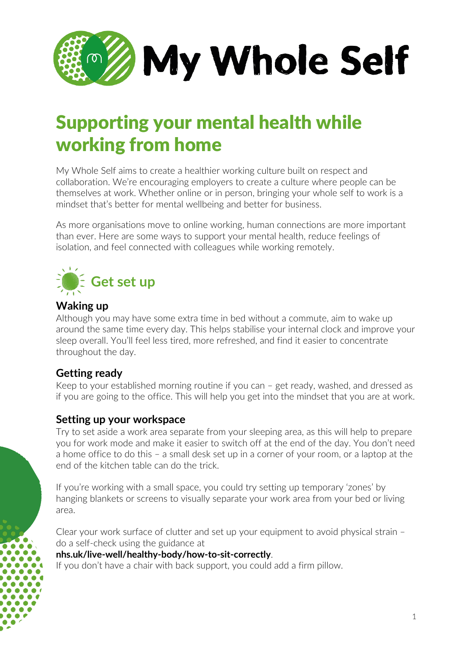

# Supporting your mental health while working from home

My Whole Self aims to create a healthier working culture built on respect and collaboration. We're encouraging employers to create a culture where people can be themselves at work. Whether online or in person, bringing your whole self to work is a mindset that's better for mental wellbeing and better for business.

As more organisations move to online working, human connections are more important than ever. Here are some ways to support your mental health, reduce feelings of isolation, and feel connected with colleagues while working remotely.



# **Waking up**

Although you may have some extra time in bed without a commute, aim to wake up around the same time every day. This helps stabilise your internal clock and improve your sleep overall. You'll feel less tired, more refreshed, and find it easier to concentrate throughout the day.

# **Getting ready**

Keep to your established morning routine if you can – get ready, washed, and dressed as if you are going to the office. This will help you get into the mindset that you are at work.

# **Setting up your workspace**

Try to set aside a work area separate from your sleeping area, as this will help to prepare you for work mode and make it easier to switch off at the end of the day. You don't need a home office to do this – a small desk set up in a corner of your room, or a laptop at the end of the kitchen table can do the trick.

If you're working with a small space, you could try setting up temporary 'zones' by hanging blankets or screens to visually separate your work area from your bed or living area.

Clear your work surface of clutter and set up your equipment to avoid physical strain – do a self-check using the guidance at

#### **[nhs.uk/live-well/healthy-body/how-to-sit-correctly](https://www.nhs.uk/live-well/healthy-body/how-to-sit-correctly/)**.

If you don't have a chair with back support, you could add a firm pillow.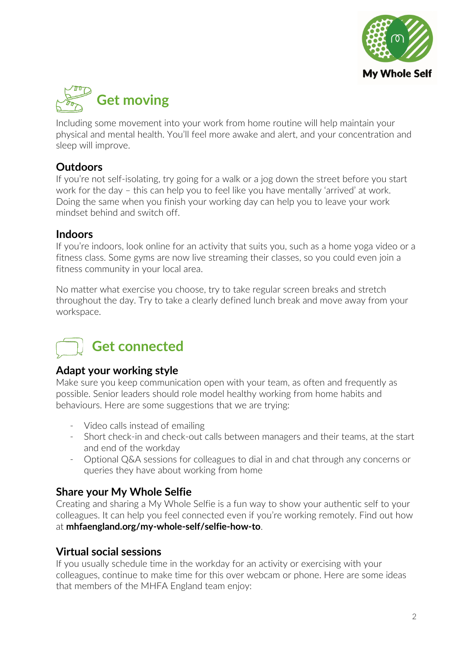



Including some movement into your work from home routine will help maintain your physical and mental health. You'll feel more awake and alert, and your concentration and sleep will improve.

#### **Outdoors**

If you're not self-isolating, try going for a walk or a jog down the street before you start work for the day – this can help you to feel like you have mentally 'arrived' at work. Doing the same when you finish your working day can help you to leave your work mindset behind and switch off.

#### **Indoors**

If you're indoors, look online for an activity that suits you, such as a home yoga video or a fitness class. Some gyms are now live streaming their classes, so you could even join a fitness community in your local area.

No matter what exercise you choose, try to take regular screen breaks and stretch throughout the day. Try to take a clearly defined lunch break and move away from your workspace.

# **Get connected**

#### **Adapt your working style**

Make sure you keep communication open with your team, as often and frequently as possible. Senior leaders should role model healthy working from home habits and behaviours. Here are some suggestions that we are trying:

- Video calls instead of emailing
- Short check-in and check-out calls between managers and their teams, at the start and end of the workday
- Optional Q&A sessions for colleagues to dial in and chat through any concerns or queries they have about working from home

# **Share your My Whole Selfie**

Creating and sharing a My Whole Selfie is a fun way to show your authentic self to your colleagues. It can help you feel connected even if you're working remotely. Find out how at **[mhfaengland.org/my-whole-self/selfie-how-to](https://mhfaengland.org/my-whole-self/selfie-how-to)**.

#### **Virtual social sessions**

If you usually schedule time in the workday for an activity or exercising with your colleagues, continue to make time for this over webcam or phone. Here are some ideas that members of the MHFA England team enjoy: